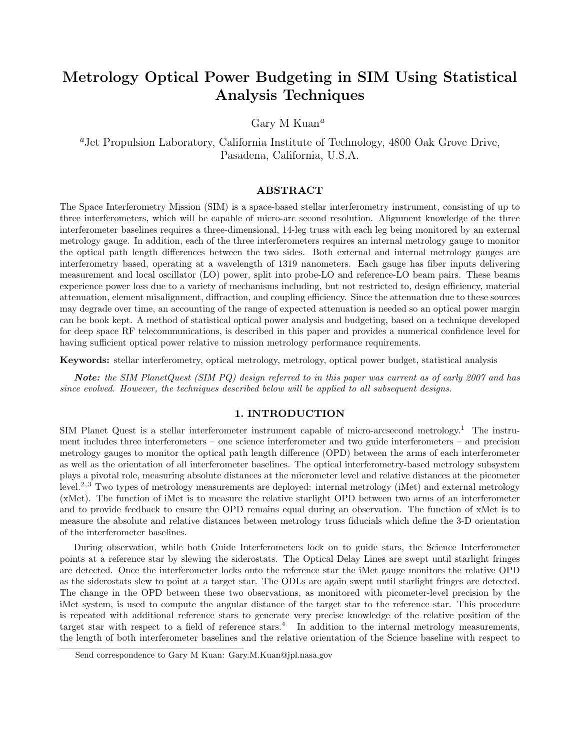# Metrology Optical Power Budgeting in SIM Using Statistical Analysis Techniques

Gary M Kuan<sup>a</sup>

<sup>a</sup>Jet Propulsion Laboratory, California Institute of Technology, 4800 Oak Grove Drive, Pasadena, California, U.S.A.

## ABSTRACT

The Space Interferometry Mission (SIM) is a space-based stellar interferometry instrument, consisting of up to three interferometers, which will be capable of micro-arc second resolution. Alignment knowledge of the three interferometer baselines requires a three-dimensional, 14-leg truss with each leg being monitored by an external metrology gauge. In addition, each of the three interferometers requires an internal metrology gauge to monitor the optical path length differences between the two sides. Both external and internal metrology gauges are interferometry based, operating at a wavelength of 1319 nanometers. Each gauge has fiber inputs delivering measurement and local oscillator (LO) power, split into probe-LO and reference-LO beam pairs. These beams experience power loss due to a variety of mechanisms including, but not restricted to, design efficiency, material attenuation, element misalignment, diffraction, and coupling efficiency. Since the attenuation due to these sources may degrade over time, an accounting of the range of expected attenuation is needed so an optical power margin can be book kept. A method of statistical optical power analysis and budgeting, based on a technique developed for deep space RF telecommunications, is described in this paper and provides a numerical confidence level for having sufficient optical power relative to mission metrology performance requirements.

Keywords: stellar interferometry, optical metrology, metrology, optical power budget, statistical analysis

Note: the SIM PlanetQuest (SIM PQ) design referred to in this paper was current as of early 2007 and has since evolved. However, the techniques described below will be applied to all subsequent designs.

## 1. INTRODUCTION

SIM Planet Quest is a stellar interferometer instrument capable of micro-arcsecond metrology.<sup>1</sup> The instrument includes three interferometers – one science interferometer and two guide interferometers – and precision metrology gauges to monitor the optical path length difference (OPD) between the arms of each interferometer as well as the orientation of all interferometer baselines. The optical interferometry-based metrology subsystem plays a pivotal role, measuring absolute distances at the micrometer level and relative distances at the picometer level.<sup>2</sup>,<sup>3</sup> Two types of metrology measurements are deployed: internal metrology (iMet) and external metrology (xMet). The function of iMet is to measure the relative starlight OPD between two arms of an interferometer and to provide feedback to ensure the OPD remains equal during an observation. The function of xMet is to measure the absolute and relative distances between metrology truss fiducials which define the 3-D orientation of the interferometer baselines.

During observation, while both Guide Interferometers lock on to guide stars, the Science Interferometer points at a reference star by slewing the siderostats. The Optical Delay Lines are swept until starlight fringes are detected. Once the interferometer locks onto the reference star the iMet gauge monitors the relative OPD as the siderostats slew to point at a target star. The ODLs are again swept until starlight fringes are detected. The change in the OPD between these two observations, as monitored with picometer-level precision by the iMet system, is used to compute the angular distance of the target star to the reference star. This procedure is repeated with additional reference stars to generate very precise knowledge of the relative position of the target star with respect to a field of reference stars.<sup>4</sup> In addition to the internal metrology measurements, the length of both interferometer baselines and the relative orientation of the Science baseline with respect to

Send correspondence to Gary M Kuan: Gary.M.Kuan@jpl.nasa.gov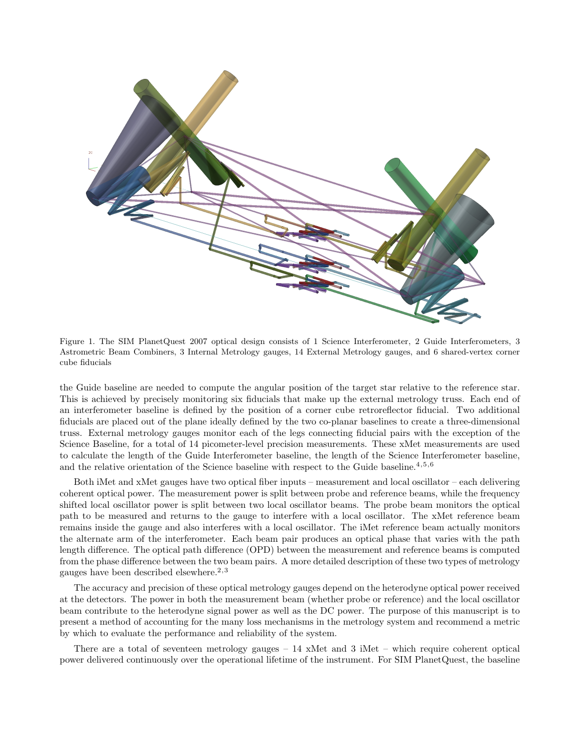

Figure 1. The SIM PlanetQuest 2007 optical design consists of 1 Science Interferometer, 2 Guide Interferometers, 3 Astrometric Beam Combiners, 3 Internal Metrology gauges, 14 External Metrology gauges, and 6 shared-vertex corner cube fiducials

the Guide baseline are needed to compute the angular position of the target star relative to the reference star. This is achieved by precisely monitoring six fiducials that make up the external metrology truss. Each end of an interferometer baseline is defined by the position of a corner cube retroreflector fiducial. Two additional fiducials are placed out of the plane ideally defined by the two co-planar baselines to create a three-dimensional truss. External metrology gauges monitor each of the legs connecting fiducial pairs with the exception of the Science Baseline, for a total of 14 picometer-level precision measurements. These xMet measurements are used to calculate the length of the Guide Interferometer baseline, the length of the Science Interferometer baseline, and the relative orientation of the Science baseline with respect to the Guide baseline.<sup>4,5,6</sup>

Both iMet and xMet gauges have two optical fiber inputs – measurement and local oscillator – each delivering coherent optical power. The measurement power is split between probe and reference beams, while the frequency shifted local oscillator power is split between two local oscillator beams. The probe beam monitors the optical path to be measured and returns to the gauge to interfere with a local oscillator. The xMet reference beam remains inside the gauge and also interferes with a local oscillator. The iMet reference beam actually monitors the alternate arm of the interferometer. Each beam pair produces an optical phase that varies with the path length difference. The optical path difference (OPD) between the measurement and reference beams is computed from the phase difference between the two beam pairs. A more detailed description of these two types of metrology gauges have been described elsewhere. $2,3$ 

The accuracy and precision of these optical metrology gauges depend on the heterodyne optical power received at the detectors. The power in both the measurement beam (whether probe or reference) and the local oscillator beam contribute to the heterodyne signal power as well as the DC power. The purpose of this manuscript is to present a method of accounting for the many loss mechanisms in the metrology system and recommend a metric by which to evaluate the performance and reliability of the system.

There are a total of seventeen metrology gauges  $-14$  xMet and 3 iMet – which require coherent optical power delivered continuously over the operational lifetime of the instrument. For SIM PlanetQuest, the baseline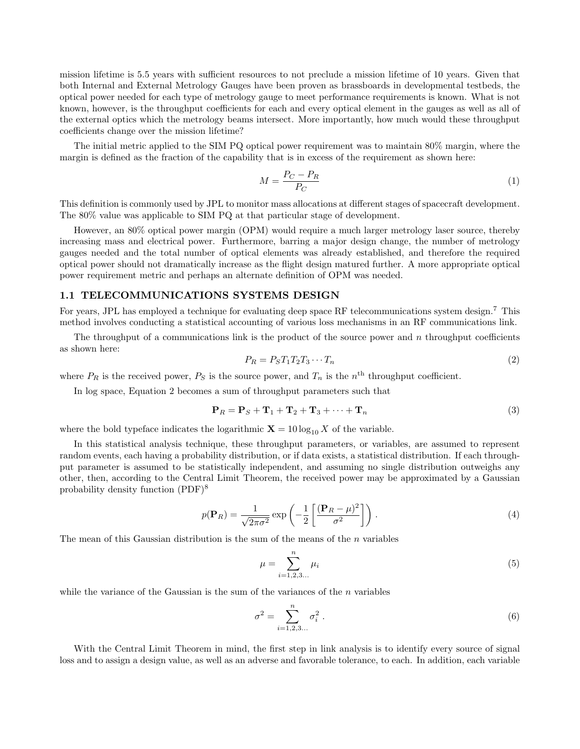mission lifetime is 5.5 years with sufficient resources to not preclude a mission lifetime of 10 years. Given that both Internal and External Metrology Gauges have been proven as brassboards in developmental testbeds, the optical power needed for each type of metrology gauge to meet performance requirements is known. What is not known, however, is the throughput coefficients for each and every optical element in the gauges as well as all of the external optics which the metrology beams intersect. More importantly, how much would these throughput coefficients change over the mission lifetime?

The initial metric applied to the SIM PQ optical power requirement was to maintain 80% margin, where the margin is defined as the fraction of the capability that is in excess of the requirement as shown here:

$$
M = \frac{P_C - P_R}{P_C} \tag{1}
$$

This definition is commonly used by JPL to monitor mass allocations at different stages of spacecraft development. The 80% value was applicable to SIM PQ at that particular stage of development.

However, an 80% optical power margin (OPM) would require a much larger metrology laser source, thereby increasing mass and electrical power. Furthermore, barring a major design change, the number of metrology gauges needed and the total number of optical elements was already established, and therefore the required optical power should not dramatically increase as the flight design matured further. A more appropriate optical power requirement metric and perhaps an alternate definition of OPM was needed.

# 1.1 TELECOMMUNICATIONS SYSTEMS DESIGN

For years, JPL has employed a technique for evaluating deep space RF telecommunications system design.<sup>7</sup> This method involves conducting a statistical accounting of various loss mechanisms in an RF communications link.

The throughput of a communications link is the product of the source power and  $n$  throughput coefficients as shown here:

$$
P_R = P_S T_1 T_2 T_3 \cdots T_n \tag{2}
$$

where  $P_R$  is the received power,  $P_S$  is the source power, and  $T_n$  is the  $n<sup>th</sup>$  throughput coefficient.

In log space, Equation 2 becomes a sum of throughput parameters such that

$$
\mathbf{P}_R = \mathbf{P}_S + \mathbf{T}_1 + \mathbf{T}_2 + \mathbf{T}_3 + \dots + \mathbf{T}_n \tag{3}
$$

where the bold typeface indicates the logarithmic  $X = 10 \log_{10} X$  of the variable.

In this statistical analysis technique, these throughput parameters, or variables, are assumed to represent random events, each having a probability distribution, or if data exists, a statistical distribution. If each throughput parameter is assumed to be statistically independent, and assuming no single distribution outweighs any other, then, according to the Central Limit Theorem, the received power may be approximated by a Gaussian probability density function (PDF)<sup>8</sup>

$$
p(\mathbf{P}_R) = \frac{1}{\sqrt{2\pi\sigma^2}} \exp\left(-\frac{1}{2}\left[\frac{(\mathbf{P}_R - \mu)^2}{\sigma^2}\right]\right).
$$
 (4)

The mean of this Gaussian distribution is the sum of the means of the  $n$  variables

$$
\mu = \sum_{i=1,2,3...}^{n} \mu_i \tag{5}
$$

while the variance of the Gaussian is the sum of the variances of the  $n$  variables

$$
\sigma^2 = \sum_{i=1,2,3...}^n \sigma_i^2 \,. \tag{6}
$$

With the Central Limit Theorem in mind, the first step in link analysis is to identify every source of signal loss and to assign a design value, as well as an adverse and favorable tolerance, to each. In addition, each variable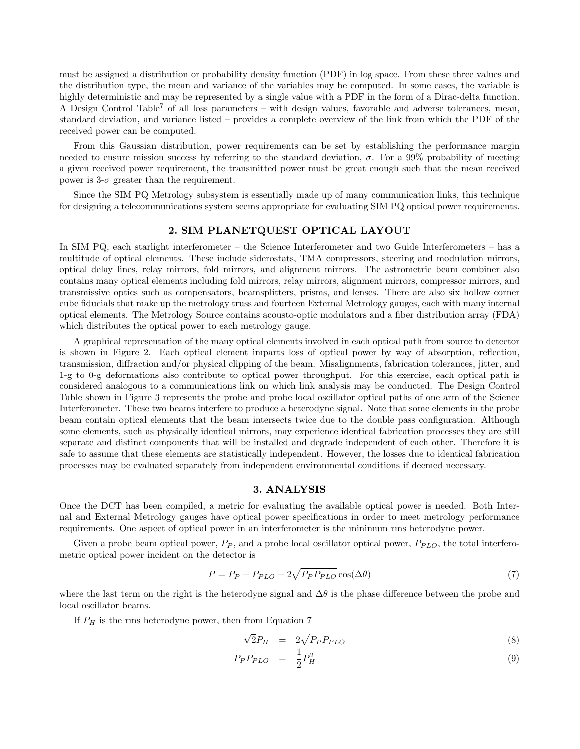must be assigned a distribution or probability density function (PDF) in log space. From these three values and the distribution type, the mean and variance of the variables may be computed. In some cases, the variable is highly deterministic and may be represented by a single value with a PDF in the form of a Dirac-delta function. A Design Control Table<sup>7</sup> of all loss parameters – with design values, favorable and adverse tolerances, mean, standard deviation, and variance listed – provides a complete overview of the link from which the PDF of the received power can be computed.

From this Gaussian distribution, power requirements can be set by establishing the performance margin needed to ensure mission success by referring to the standard deviation,  $\sigma$ . For a 99% probability of meeting a given received power requirement, the transmitted power must be great enough such that the mean received power is  $3-\sigma$  greater than the requirement.

Since the SIM PQ Metrology subsystem is essentially made up of many communication links, this technique for designing a telecommunications system seems appropriate for evaluating SIM PQ optical power requirements.

# 2. SIM PLANETQUEST OPTICAL LAYOUT

In SIM PQ, each starlight interferometer – the Science Interferometer and two Guide Interferometers – has a multitude of optical elements. These include siderostats, TMA compressors, steering and modulation mirrors, optical delay lines, relay mirrors, fold mirrors, and alignment mirrors. The astrometric beam combiner also contains many optical elements including fold mirrors, relay mirrors, alignment mirrors, compressor mirrors, and transmissive optics such as compensators, beamsplitters, prisms, and lenses. There are also six hollow corner cube fiducials that make up the metrology truss and fourteen External Metrology gauges, each with many internal optical elements. The Metrology Source contains acousto-optic modulators and a fiber distribution array (FDA) which distributes the optical power to each metrology gauge.

A graphical representation of the many optical elements involved in each optical path from source to detector is shown in Figure 2. Each optical element imparts loss of optical power by way of absorption, reflection, transmission, diffraction and/or physical clipping of the beam. Misalignments, fabrication tolerances, jitter, and 1-g to 0-g deformations also contribute to optical power throughput. For this exercise, each optical path is considered analogous to a communications link on which link analysis may be conducted. The Design Control Table shown in Figure 3 represents the probe and probe local oscillator optical paths of one arm of the Science Interferometer. These two beams interfere to produce a heterodyne signal. Note that some elements in the probe beam contain optical elements that the beam intersects twice due to the double pass configuration. Although some elements, such as physically identical mirrors, may experience identical fabrication processes they are still separate and distinct components that will be installed and degrade independent of each other. Therefore it is safe to assume that these elements are statistically independent. However, the losses due to identical fabrication processes may be evaluated separately from independent environmental conditions if deemed necessary.

# 3. ANALYSIS

Once the DCT has been compiled, a metric for evaluating the available optical power is needed. Both Internal and External Metrology gauges have optical power specifications in order to meet metrology performance requirements. One aspect of optical power in an interferometer is the minimum rms heterodyne power.

Given a probe beam optical power,  $P_P$ , and a probe local oscillator optical power,  $P_{PLO}$ , the total interferometric optical power incident on the detector is

$$
P = P_P + P_{PLO} + 2\sqrt{P_P P_{PLO}} \cos(\Delta \theta)
$$
\n<sup>(7)</sup>

where the last term on the right is the heterodyne signal and  $\Delta\theta$  is the phase difference between the probe and local oscillator beams.

If  $P_H$  is the rms heterodyne power, then from Equation 7

$$
\sqrt{2}P_H = 2\sqrt{P_P P_{PLO}}\tag{8}
$$

$$
P_P P_{PLO} = \frac{1}{2} P_H^2 \tag{9}
$$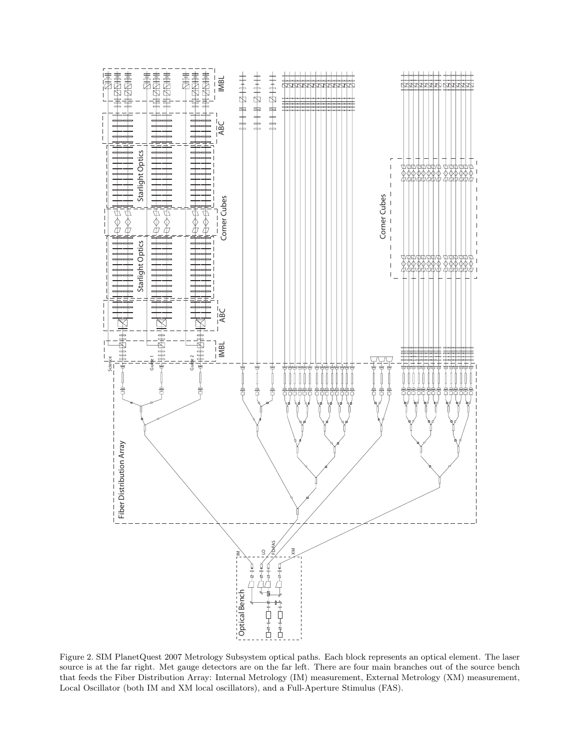

Figure 2. SIM PlanetQuest 2007 Metrology Subsystem optical paths. Each block represents an optical element. The laser source is at the far right. Met gauge detectors are on the far left. There are four main branches out of the source bench that feeds the Fiber Distribution Array: Internal Metrology (IM) measurement, External Metrology (XM) measurement, Local Oscillator (both IM and XM local oscillators), and a Full-Aperture Stimulus (FAS).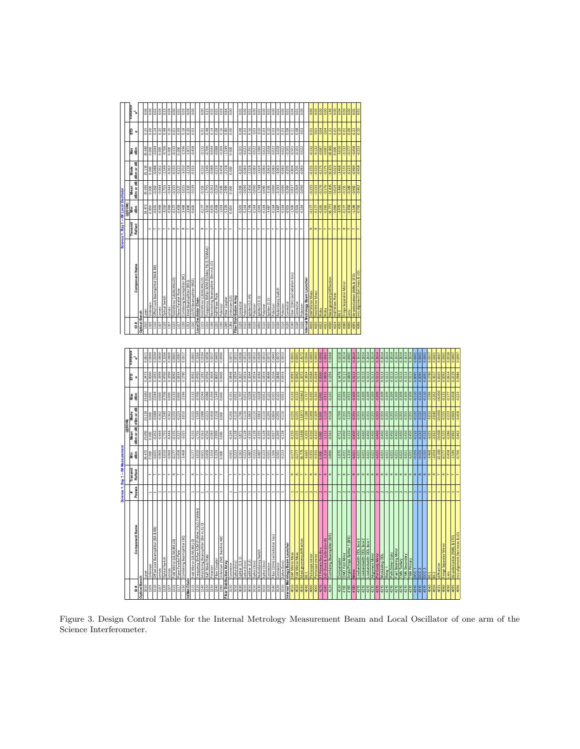

Figure 3. Design Control Table for the Internal Metrology Measurement Beam and Local Oscillator of one arm of the Science Interferometer.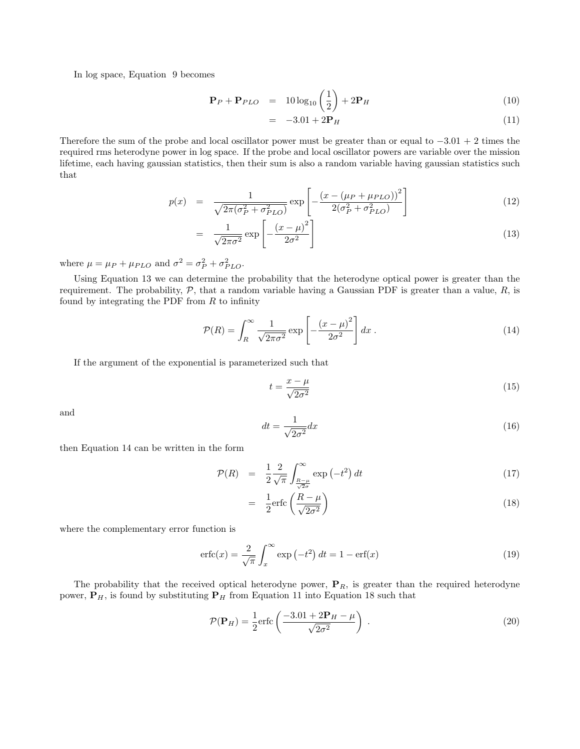In log space, Equation 9 becomes

$$
\mathbf{P}_P + \mathbf{P}_{PLO} = 10 \log_{10} \left(\frac{1}{2}\right) + 2\mathbf{P}_H \tag{10}
$$

$$
= -3.01 + 2\mathbf{P}_H \tag{11}
$$

Therefore the sum of the probe and local oscillator power must be greater than or equal to  $-3.01 + 2$  times the required rms heterodyne power in log space. If the probe and local oscillator powers are variable over the mission lifetime, each having gaussian statistics, then their sum is also a random variable having gaussian statistics such that

$$
p(x) = \frac{1}{\sqrt{2\pi(\sigma_P^2 + \sigma_{PLO}^2)}} \exp\left[-\frac{(x - (\mu_P + \mu_{PLO}))^2}{2(\sigma_P^2 + \sigma_{PLO}^2)}\right]
$$
(12)

$$
= \frac{1}{\sqrt{2\pi\sigma^2}} \exp\left[-\frac{(x-\mu)^2}{2\sigma^2}\right]
$$
\n(13)

where  $\mu = \mu_P + \mu_{PLO}$  and  $\sigma^2 = \sigma_P^2 + \sigma_{PLO}^2$ .

Using Equation 13 we can determine the probability that the heterodyne optical power is greater than the requirement. The probability,  $P$ , that a random variable having a Gaussian PDF is greater than a value,  $R$ , is found by integrating the PDF from  $R$  to infinity

$$
\mathcal{P}(R) = \int_{R}^{\infty} \frac{1}{\sqrt{2\pi\sigma^2}} \exp\left[-\frac{(x-\mu)^2}{2\sigma^2}\right] dx.
$$
 (14)

If the argument of the exponential is parameterized such that

$$
t = \frac{x - \mu}{\sqrt{2\sigma^2}}\tag{15}
$$

and

$$
dt = \frac{1}{\sqrt{2\sigma^2}} dx\tag{16}
$$

then Equation 14 can be written in the form

$$
\mathcal{P}(R) = \frac{1}{2} \frac{2}{\sqrt{\pi}} \int_{\frac{R-\mu}{\sqrt{2\sigma}}}^{\infty} \exp\left(-t^2\right) dt \tag{17}
$$

$$
= \frac{1}{2} \text{erfc}\left(\frac{R-\mu}{\sqrt{2\sigma^2}}\right) \tag{18}
$$

where the complementary error function is

$$
\operatorname{erfc}(x) = \frac{2}{\sqrt{\pi}} \int_x^{\infty} \exp\left(-t^2\right) dt = 1 - \operatorname{erf}(x) \tag{19}
$$

The probability that the received optical heterodyne power,  $P_R$ , is greater than the required heterodyne power,  $P_H$ , is found by substituting  $P_H$  from Equation 11 into Equation 18 such that

$$
\mathcal{P}(\mathbf{P}_H) = \frac{1}{2} \text{erfc}\left(\frac{-3.01 + 2\mathbf{P}_H - \mu}{\sqrt{2\sigma^2}}\right) \tag{20}
$$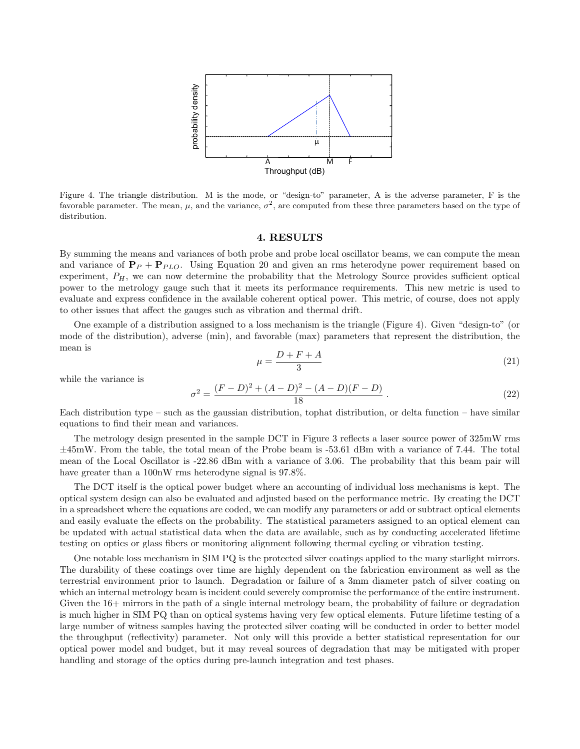

Figure 4. The triangle distribution. M is the mode, or "design-to" parameter, A is the adverse parameter, F is the favorable parameter. The mean,  $\mu$ , and the variance,  $\sigma^2$ , are computed from these three parameters based on the type of distribution.

#### 4. RESULTS

By summing the means and variances of both probe and probe local oscillator beams, we can compute the mean and variance of  $P_P + P_{PLO}$ . Using Equation 20 and given an rms heterodyne power requirement based on experiment,  $P_H$ , we can now determine the probability that the Metrology Source provides sufficient optical power to the metrology gauge such that it meets its performance requirements. This new metric is used to evaluate and express confidence in the available coherent optical power. This metric, of course, does not apply to other issues that affect the gauges such as vibration and thermal drift.

One example of a distribution assigned to a loss mechanism is the triangle (Figure 4). Given "design-to" (or mode of the distribution), adverse (min), and favorable (max) parameters that represent the distribution, the mean is

$$
\mu = \frac{D + F + A}{3} \tag{21}
$$

while the variance is

$$
\sigma^2 = \frac{(F-D)^2 + (A-D)^2 - (A-D)(F-D)}{18} \,. \tag{22}
$$

Each distribution type – such as the gaussian distribution, tophat distribution, or delta function – have similar equations to find their mean and variances.

The metrology design presented in the sample DCT in Figure 3 reflects a laser source power of 325mW rms  $\pm 45$ mW. From the table, the total mean of the Probe beam is  $-53.61$  dBm with a variance of 7.44. The total mean of the Local Oscillator is -22.86 dBm with a variance of 3.06. The probability that this beam pair will have greater than a 100nW rms heterodyne signal is 97.8%.

The DCT itself is the optical power budget where an accounting of individual loss mechanisms is kept. The optical system design can also be evaluated and adjusted based on the performance metric. By creating the DCT in a spreadsheet where the equations are coded, we can modify any parameters or add or subtract optical elements and easily evaluate the effects on the probability. The statistical parameters assigned to an optical element can be updated with actual statistical data when the data are available, such as by conducting accelerated lifetime testing on optics or glass fibers or monitoring alignment following thermal cycling or vibration testing.

One notable loss mechanism in SIM PQ is the protected silver coatings applied to the many starlight mirrors. The durability of these coatings over time are highly dependent on the fabrication environment as well as the terrestrial environment prior to launch. Degradation or failure of a 3mm diameter patch of silver coating on which an internal metrology beam is incident could severely compromise the performance of the entire instrument. Given the 16+ mirrors in the path of a single internal metrology beam, the probability of failure or degradation is much higher in SIM PQ than on optical systems having very few optical elements. Future lifetime testing of a large number of witness samples having the protected silver coating will be conducted in order to better model the throughput (reflectivity) parameter. Not only will this provide a better statistical representation for our optical power model and budget, but it may reveal sources of degradation that may be mitigated with proper handling and storage of the optics during pre-launch integration and test phases.